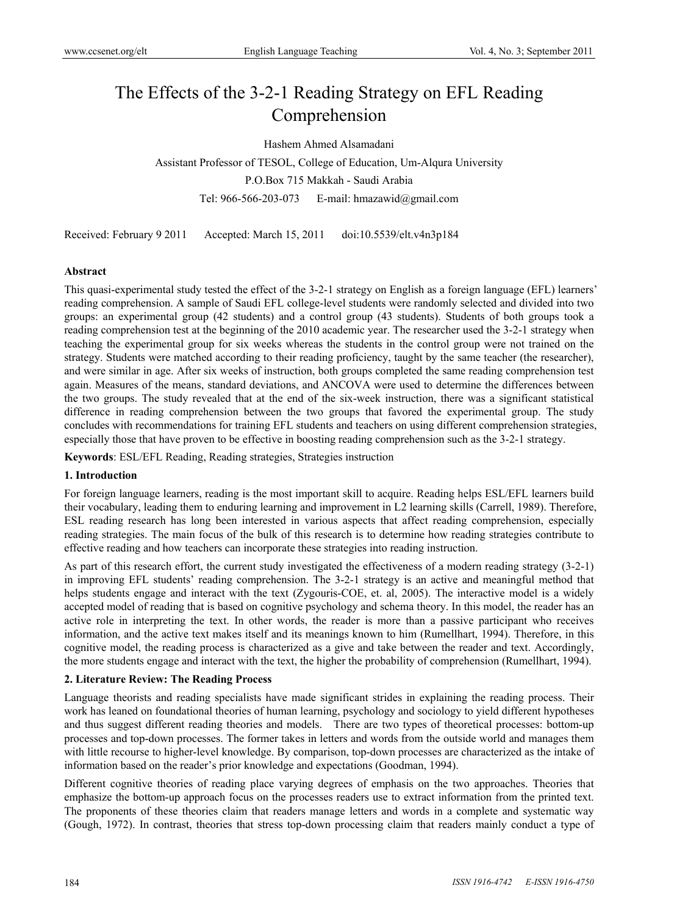# The Effects of the 3-2-1 Reading Strategy on EFL Reading Comprehension

Hashem Ahmed Alsamadani

Assistant Professor of TESOL, College of Education, Um-Alqura University P.O.Box 715 Makkah - Saudi Arabia Tel: 966-566-203-073 E-mail: hmazawid@gmail.com

Received: February 9 2011 Accepted: March 15, 2011 doi:10.5539/elt.v4n3p184

#### **Abstract**

This quasi-experimental study tested the effect of the 3-2-1 strategy on English as a foreign language (EFL) learners' reading comprehension. A sample of Saudi EFL college-level students were randomly selected and divided into two groups: an experimental group (42 students) and a control group (43 students). Students of both groups took a reading comprehension test at the beginning of the 2010 academic year. The researcher used the 3-2-1 strategy when teaching the experimental group for six weeks whereas the students in the control group were not trained on the strategy. Students were matched according to their reading proficiency, taught by the same teacher (the researcher), and were similar in age. After six weeks of instruction, both groups completed the same reading comprehension test again. Measures of the means, standard deviations, and ANCOVA were used to determine the differences between the two groups. The study revealed that at the end of the six-week instruction, there was a significant statistical difference in reading comprehension between the two groups that favored the experimental group. The study concludes with recommendations for training EFL students and teachers on using different comprehension strategies, especially those that have proven to be effective in boosting reading comprehension such as the 3-2-1 strategy.

**Keywords**: ESL/EFL Reading, Reading strategies, Strategies instruction

#### **1. Introduction**

For foreign language learners, reading is the most important skill to acquire. Reading helps ESL/EFL learners build their vocabulary, leading them to enduring learning and improvement in L2 learning skills (Carrell, 1989). Therefore, ESL reading research has long been interested in various aspects that affect reading comprehension, especially reading strategies. The main focus of the bulk of this research is to determine how reading strategies contribute to effective reading and how teachers can incorporate these strategies into reading instruction.

As part of this research effort, the current study investigated the effectiveness of a modern reading strategy (3-2-1) in improving EFL students' reading comprehension. The 3-2-1 strategy is an active and meaningful method that helps students engage and interact with the text (Zygouris-COE, et. al, 2005). The interactive model is a widely accepted model of reading that is based on cognitive psychology and schema theory. In this model, the reader has an active role in interpreting the text. In other words, the reader is more than a passive participant who receives information, and the active text makes itself and its meanings known to him (Rumellhart, 1994). Therefore, in this cognitive model, the reading process is characterized as a give and take between the reader and text. Accordingly, the more students engage and interact with the text, the higher the probability of comprehension (Rumellhart, 1994).

#### **2. Literature Review: The Reading Process**

Language theorists and reading specialists have made significant strides in explaining the reading process. Their work has leaned on foundational theories of human learning, psychology and sociology to yield different hypotheses and thus suggest different reading theories and models. There are two types of theoretical processes: bottom-up processes and top-down processes. The former takes in letters and words from the outside world and manages them with little recourse to higher-level knowledge. By comparison, top-down processes are characterized as the intake of information based on the reader's prior knowledge and expectations (Goodman, 1994).

Different cognitive theories of reading place varying degrees of emphasis on the two approaches. Theories that emphasize the bottom-up approach focus on the processes readers use to extract information from the printed text. The proponents of these theories claim that readers manage letters and words in a complete and systematic way (Gough, 1972). In contrast, theories that stress top-down processing claim that readers mainly conduct a type of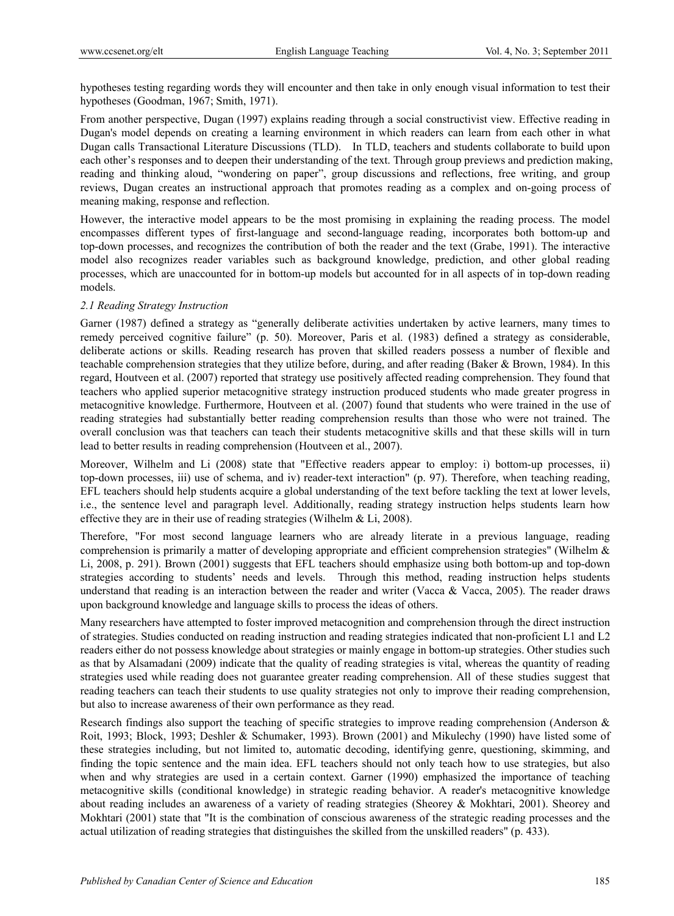hypotheses testing regarding words they will encounter and then take in only enough visual information to test their hypotheses (Goodman, 1967; Smith, 1971).

From another perspective, Dugan (1997) explains reading through a social constructivist view. Effective reading in Dugan's model depends on creating a learning environment in which readers can learn from each other in what Dugan calls Transactional Literature Discussions (TLD). In TLD, teachers and students collaborate to build upon each other's responses and to deepen their understanding of the text. Through group previews and prediction making, reading and thinking aloud, "wondering on paper", group discussions and reflections, free writing, and group reviews, Dugan creates an instructional approach that promotes reading as a complex and on-going process of meaning making, response and reflection.

However, the interactive model appears to be the most promising in explaining the reading process. The model encompasses different types of first-language and second-language reading, incorporates both bottom-up and top-down processes, and recognizes the contribution of both the reader and the text (Grabe, 1991). The interactive model also recognizes reader variables such as background knowledge, prediction, and other global reading processes, which are unaccounted for in bottom-up models but accounted for in all aspects of in top-down reading models.

## *2.1 Reading Strategy Instruction*

Garner (1987) defined a strategy as "generally deliberate activities undertaken by active learners, many times to remedy perceived cognitive failure" (p. 50). Moreover, Paris et al. (1983) defined a strategy as considerable, deliberate actions or skills. Reading research has proven that skilled readers possess a number of flexible and teachable comprehension strategies that they utilize before, during, and after reading (Baker & Brown, 1984). In this regard, Houtveen et al. (2007) reported that strategy use positively affected reading comprehension. They found that teachers who applied superior metacognitive strategy instruction produced students who made greater progress in metacognitive knowledge. Furthermore, Houtveen et al. (2007) found that students who were trained in the use of reading strategies had substantially better reading comprehension results than those who were not trained. The overall conclusion was that teachers can teach their students metacognitive skills and that these skills will in turn lead to better results in reading comprehension (Houtveen et al., 2007).

Moreover, Wilhelm and Li (2008) state that "Effective readers appear to employ: i) bottom-up processes, ii) top-down processes, iii) use of schema, and iv) reader-text interaction" (p. 97). Therefore, when teaching reading, EFL teachers should help students acquire a global understanding of the text before tackling the text at lower levels, i.e., the sentence level and paragraph level. Additionally, reading strategy instruction helps students learn how effective they are in their use of reading strategies (Wilhelm & Li, 2008).

Therefore, "For most second language learners who are already literate in a previous language, reading comprehension is primarily a matter of developing appropriate and efficient comprehension strategies" (Wilhelm & Li, 2008, p. 291). Brown (2001) suggests that EFL teachers should emphasize using both bottom-up and top-down strategies according to students' needs and levels. Through this method, reading instruction helps students understand that reading is an interaction between the reader and writer (Vacca & Vacca, 2005). The reader draws upon background knowledge and language skills to process the ideas of others.

Many researchers have attempted to foster improved metacognition and comprehension through the direct instruction of strategies. Studies conducted on reading instruction and reading strategies indicated that non-proficient L1 and L2 readers either do not possess knowledge about strategies or mainly engage in bottom-up strategies. Other studies such as that by Alsamadani (2009) indicate that the quality of reading strategies is vital, whereas the quantity of reading strategies used while reading does not guarantee greater reading comprehension. All of these studies suggest that reading teachers can teach their students to use quality strategies not only to improve their reading comprehension, but also to increase awareness of their own performance as they read.

Research findings also support the teaching of specific strategies to improve reading comprehension (Anderson & Roit, 1993; Block, 1993; Deshler & Schumaker, 1993). Brown (2001) and Mikulechy (1990) have listed some of these strategies including, but not limited to, automatic decoding, identifying genre, questioning, skimming, and finding the topic sentence and the main idea. EFL teachers should not only teach how to use strategies, but also when and why strategies are used in a certain context. Garner (1990) emphasized the importance of teaching metacognitive skills (conditional knowledge) in strategic reading behavior. A reader's metacognitive knowledge about reading includes an awareness of a variety of reading strategies (Sheorey & Mokhtari, 2001). Sheorey and Mokhtari (2001) state that "It is the combination of conscious awareness of the strategic reading processes and the actual utilization of reading strategies that distinguishes the skilled from the unskilled readers" (p. 433).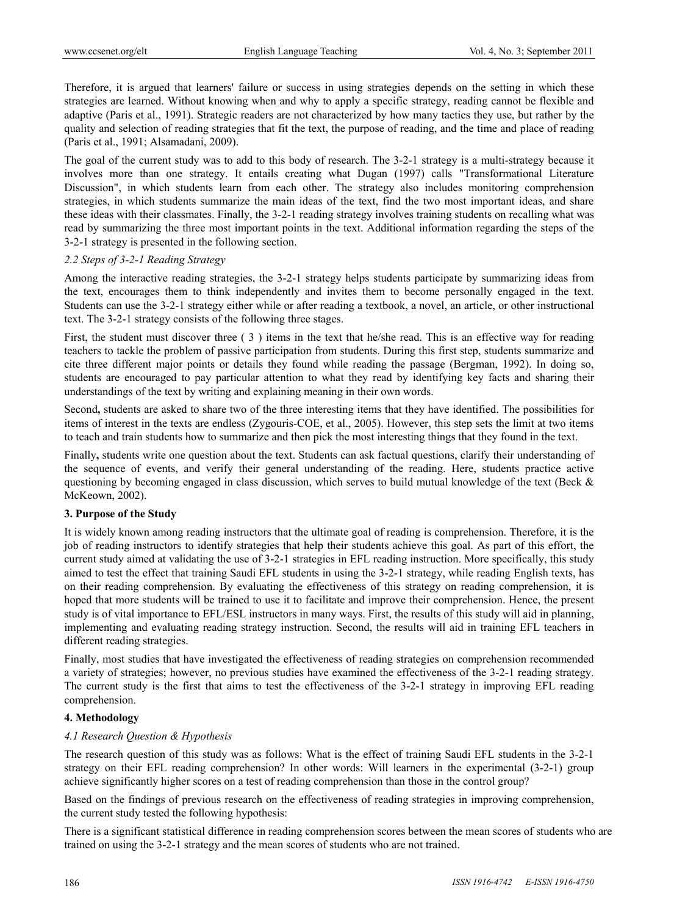Therefore, it is argued that learners' failure or success in using strategies depends on the setting in which these strategies are learned. Without knowing when and why to apply a specific strategy, reading cannot be flexible and adaptive (Paris et al., 1991). Strategic readers are not characterized by how many tactics they use, but rather by the quality and selection of reading strategies that fit the text, the purpose of reading, and the time and place of reading (Paris et al., 1991; Alsamadani, 2009).

The goal of the current study was to add to this body of research. The 3-2-1 strategy is a multi-strategy because it involves more than one strategy. It entails creating what Dugan (1997) calls "Transformational Literature Discussion", in which students learn from each other. The strategy also includes monitoring comprehension strategies, in which students summarize the main ideas of the text, find the two most important ideas, and share these ideas with their classmates. Finally, the 3-2-1 reading strategy involves training students on recalling what was read by summarizing the three most important points in the text. Additional information regarding the steps of the 3-2-1 strategy is presented in the following section.

#### *2.2 Steps of 3-2-1 Reading Strategy*

Among the interactive reading strategies, the 3-2-1 strategy helps students participate by summarizing ideas from the text, encourages them to think independently and invites them to become personally engaged in the text. Students can use the 3-2-1 strategy either while or after reading a textbook, a novel, an article, or other instructional text. The 3-2-1 strategy consists of the following three stages.

First, the student must discover three (3) items in the text that he/she read. This is an effective way for reading teachers to tackle the problem of passive participation from students. During this first step, students summarize and cite three different major points or details they found while reading the passage (Bergman, 1992). In doing so, students are encouraged to pay particular attention to what they read by identifying key facts and sharing their understandings of the text by writing and explaining meaning in their own words.

Second**,** students are asked to share two of the three interesting items that they have identified. The possibilities for items of interest in the texts are endless (Zygouris-COE, et al., 2005). However, this step sets the limit at two items to teach and train students how to summarize and then pick the most interesting things that they found in the text.

Finally**,** students write one question about the text. Students can ask factual questions, clarify their understanding of the sequence of events, and verify their general understanding of the reading. Here, students practice active questioning by becoming engaged in class discussion, which serves to build mutual knowledge of the text (Beck & McKeown, 2002).

#### **3. Purpose of the Study**

It is widely known among reading instructors that the ultimate goal of reading is comprehension. Therefore, it is the job of reading instructors to identify strategies that help their students achieve this goal. As part of this effort, the current study aimed at validating the use of 3-2-1 strategies in EFL reading instruction. More specifically, this study aimed to test the effect that training Saudi EFL students in using the 3-2-1 strategy, while reading English texts, has on their reading comprehension. By evaluating the effectiveness of this strategy on reading comprehension, it is hoped that more students will be trained to use it to facilitate and improve their comprehension. Hence, the present study is of vital importance to EFL/ESL instructors in many ways. First, the results of this study will aid in planning, implementing and evaluating reading strategy instruction. Second, the results will aid in training EFL teachers in different reading strategies.

Finally, most studies that have investigated the effectiveness of reading strategies on comprehension recommended a variety of strategies; however, no previous studies have examined the effectiveness of the 3-2-1 reading strategy. The current study is the first that aims to test the effectiveness of the 3-2-1 strategy in improving EFL reading comprehension.

#### **4. Methodology**

#### *4.1 Research Question & Hypothesis*

The research question of this study was as follows: What is the effect of training Saudi EFL students in the 3-2-1 strategy on their EFL reading comprehension? In other words: Will learners in the experimental (3-2-1) group achieve significantly higher scores on a test of reading comprehension than those in the control group?

Based on the findings of previous research on the effectiveness of reading strategies in improving comprehension, the current study tested the following hypothesis:

There is a significant statistical difference in reading comprehension scores between the mean scores of students who are trained on using the 3-2-1 strategy and the mean scores of students who are not trained.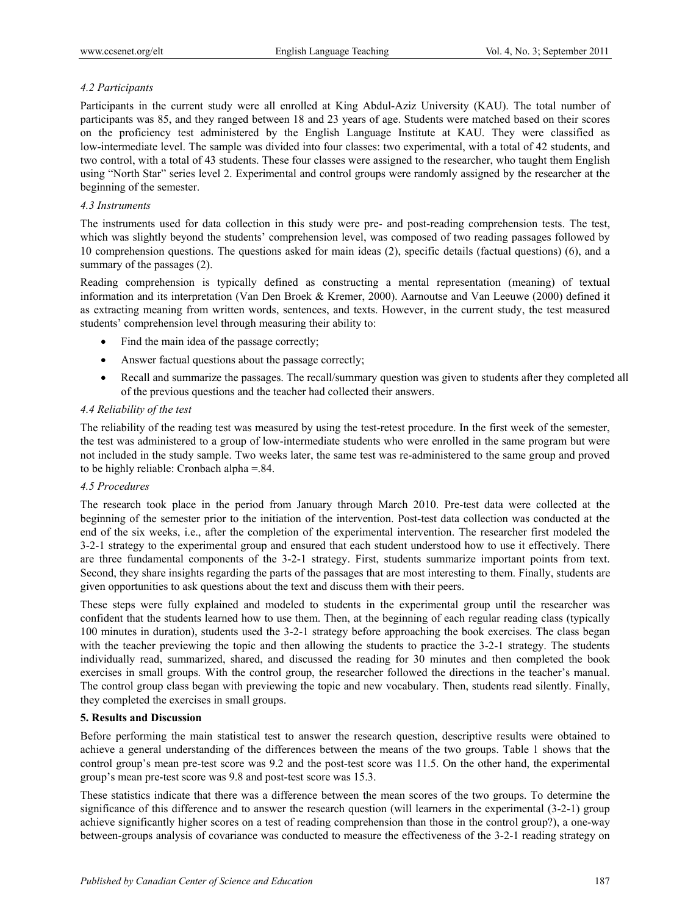## *4.2 Participants*

Participants in the current study were all enrolled at King Abdul-Aziz University (KAU). The total number of participants was 85, and they ranged between 18 and 23 years of age. Students were matched based on their scores on the proficiency test administered by the English Language Institute at KAU. They were classified as low-intermediate level. The sample was divided into four classes: two experimental, with a total of 42 students, and two control, with a total of 43 students. These four classes were assigned to the researcher, who taught them English using "North Star" series level 2. Experimental and control groups were randomly assigned by the researcher at the beginning of the semester.

## *4.3 Instruments*

The instruments used for data collection in this study were pre- and post-reading comprehension tests. The test, which was slightly beyond the students' comprehension level, was composed of two reading passages followed by 10 comprehension questions. The questions asked for main ideas (2), specific details (factual questions) (6), and a summary of the passages (2).

Reading comprehension is typically defined as constructing a mental representation (meaning) of textual information and its interpretation (Van Den Broek & Kremer, 2000). Aarnoutse and Van Leeuwe (2000) defined it as extracting meaning from written words, sentences, and texts. However, in the current study, the test measured students' comprehension level through measuring their ability to:

- Find the main idea of the passage correctly;
- Answer factual questions about the passage correctly;
- Recall and summarize the passages. The recall/summary question was given to students after they completed all of the previous questions and the teacher had collected their answers.

## *4.4 Reliability of the test*

The reliability of the reading test was measured by using the test-retest procedure. In the first week of the semester, the test was administered to a group of low-intermediate students who were enrolled in the same program but were not included in the study sample. Two weeks later, the same test was re-administered to the same group and proved to be highly reliable: Cronbach alpha =.84.

#### *4.5 Procedures*

The research took place in the period from January through March 2010. Pre-test data were collected at the beginning of the semester prior to the initiation of the intervention. Post-test data collection was conducted at the end of the six weeks, i.e., after the completion of the experimental intervention. The researcher first modeled the 3-2-1 strategy to the experimental group and ensured that each student understood how to use it effectively. There are three fundamental components of the 3-2-1 strategy. First, students summarize important points from text. Second, they share insights regarding the parts of the passages that are most interesting to them. Finally, students are given opportunities to ask questions about the text and discuss them with their peers.

These steps were fully explained and modeled to students in the experimental group until the researcher was confident that the students learned how to use them. Then, at the beginning of each regular reading class (typically 100 minutes in duration), students used the 3-2-1 strategy before approaching the book exercises. The class began with the teacher previewing the topic and then allowing the students to practice the 3-2-1 strategy. The students individually read, summarized, shared, and discussed the reading for 30 minutes and then completed the book exercises in small groups. With the control group, the researcher followed the directions in the teacher's manual. The control group class began with previewing the topic and new vocabulary. Then, students read silently. Finally, they completed the exercises in small groups.

#### **5. Results and Discussion**

Before performing the main statistical test to answer the research question, descriptive results were obtained to achieve a general understanding of the differences between the means of the two groups. Table 1 shows that the control group's mean pre-test score was 9.2 and the post-test score was 11.5. On the other hand, the experimental group's mean pre-test score was 9.8 and post-test score was 15.3.

These statistics indicate that there was a difference between the mean scores of the two groups. To determine the significance of this difference and to answer the research question (will learners in the experimental (3-2-1) group achieve significantly higher scores on a test of reading comprehension than those in the control group?), a one-way between-groups analysis of covariance was conducted to measure the effectiveness of the 3-2-1 reading strategy on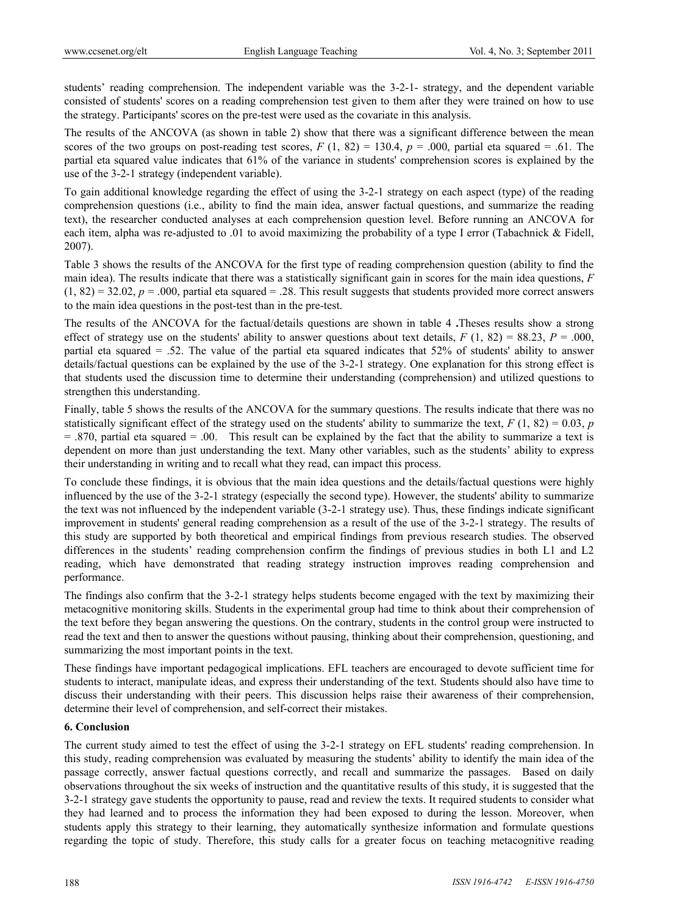students' reading comprehension. The independent variable was the 3-2-1- strategy, and the dependent variable consisted of students' scores on a reading comprehension test given to them after they were trained on how to use the strategy. Participants' scores on the pre-test were used as the covariate in this analysis.

The results of the ANCOVA (as shown in table 2) show that there was a significant difference between the mean scores of the two groups on post-reading test scores,  $F(1, 82) = 130.4$ ,  $p = .000$ , partial eta squared = .61. The partial eta squared value indicates that 61% of the variance in students' comprehension scores is explained by the use of the 3-2-1 strategy (independent variable).

To gain additional knowledge regarding the effect of using the 3-2-1 strategy on each aspect (type) of the reading comprehension questions (i.e., ability to find the main idea, answer factual questions, and summarize the reading text), the researcher conducted analyses at each comprehension question level. Before running an ANCOVA for each item, alpha was re-adjusted to .01 to avoid maximizing the probability of a type I error (Tabachnick & Fidell, 2007).

Table 3 shows the results of the ANCOVA for the first type of reading comprehension question (ability to find the main idea). The results indicate that there was a statistically significant gain in scores for the main idea questions, *F*  $(1, 82) = 32.02$ ,  $p = .000$ , partial eta squared = .28. This result suggests that students provided more correct answers to the main idea questions in the post-test than in the pre-test.

The results of the ANCOVA for the factual/details questions are shown in table 4 **.**Theses results show a strong effect of strategy use on the students' ability to answer questions about text details,  $F(1, 82) = 88.23$ ,  $P = .000$ , partial eta squared = .52. The value of the partial eta squared indicates that 52% of students' ability to answer details/factual questions can be explained by the use of the 3-2-1 strategy. One explanation for this strong effect is that students used the discussion time to determine their understanding (comprehension) and utilized questions to strengthen this understanding.

Finally, table 5 shows the results of the ANCOVA for the summary questions. The results indicate that there was no statistically significant effect of the strategy used on the students' ability to summarize the text,  $F(1, 82) = 0.03$ , *p* = .870, partial eta squared = .00. This result can be explained by the fact that the ability to summarize a text is dependent on more than just understanding the text. Many other variables, such as the students' ability to express their understanding in writing and to recall what they read, can impact this process.

To conclude these findings, it is obvious that the main idea questions and the details/factual questions were highly influenced by the use of the 3-2-1 strategy (especially the second type). However, the students' ability to summarize the text was not influenced by the independent variable (3-2-1 strategy use). Thus, these findings indicate significant improvement in students' general reading comprehension as a result of the use of the 3-2-1 strategy. The results of this study are supported by both theoretical and empirical findings from previous research studies. The observed differences in the students' reading comprehension confirm the findings of previous studies in both L1 and L2 reading, which have demonstrated that reading strategy instruction improves reading comprehension and performance.

The findings also confirm that the 3-2-1 strategy helps students become engaged with the text by maximizing their metacognitive monitoring skills. Students in the experimental group had time to think about their comprehension of the text before they began answering the questions. On the contrary, students in the control group were instructed to read the text and then to answer the questions without pausing, thinking about their comprehension, questioning, and summarizing the most important points in the text.

These findings have important pedagogical implications. EFL teachers are encouraged to devote sufficient time for students to interact, manipulate ideas, and express their understanding of the text. Students should also have time to discuss their understanding with their peers. This discussion helps raise their awareness of their comprehension, determine their level of comprehension, and self-correct their mistakes.

## **6. Conclusion**

The current study aimed to test the effect of using the 3-2-1 strategy on EFL students' reading comprehension. In this study, reading comprehension was evaluated by measuring the students' ability to identify the main idea of the passage correctly, answer factual questions correctly, and recall and summarize the passages. Based on daily observations throughout the six weeks of instruction and the quantitative results of this study, it is suggested that the 3-2-1 strategy gave students the opportunity to pause, read and review the texts. It required students to consider what they had learned and to process the information they had been exposed to during the lesson. Moreover, when students apply this strategy to their learning, they automatically synthesize information and formulate questions regarding the topic of study. Therefore, this study calls for a greater focus on teaching metacognitive reading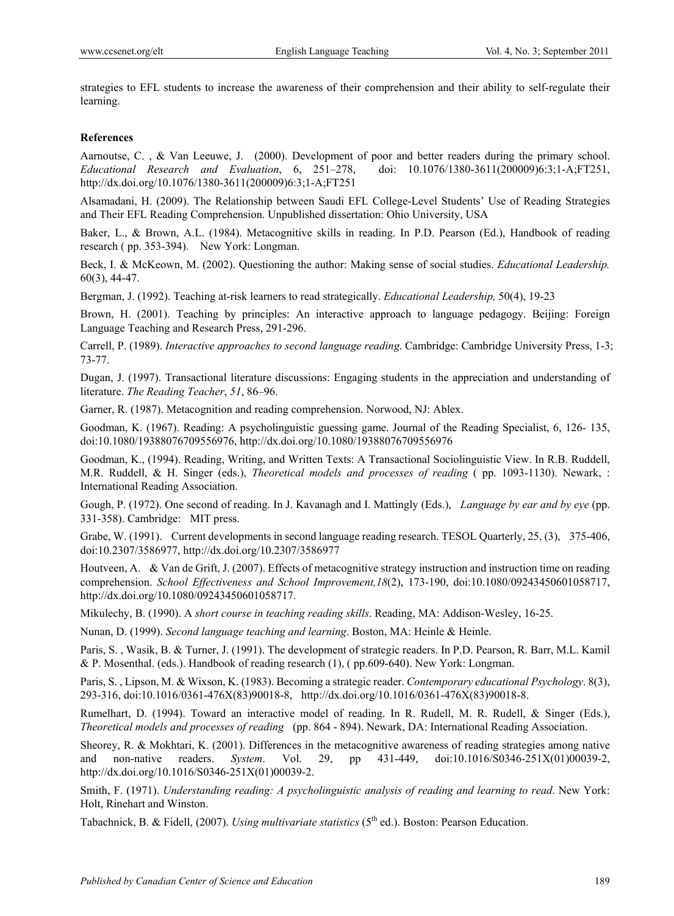strategies to EFL students to increase the awareness of their comprehension and their ability to self-regulate their learning.

#### **References**

Aarnoutse, C. , & Van Leeuwe, J. (2000). Development of poor and better readers during the primary school. *Educational Research and Evaluation*, 6, 251–278, doi: 10.1076/1380-3611(200009)6:3;1-A;FT251, http://dx.doi.org/10.1076/1380-3611(200009)6:3;1-A;FT251

Alsamadani, H. (2009). The Relationship between Saudi EFL College-Level Students' Use of Reading Strategies and Their EFL Reading Comprehension. Unpublished dissertation: Ohio University, USA

Baker, L., & Brown, A.L. (1984). Metacognitive skills in reading. In P.D. Pearson (Ed.), Handbook of reading research ( pp. 353-394). New York: Longman.

Beck, I. & McKeown, M. (2002). Questioning the author: Making sense of social studies. *Educational Leadership.*  60(3), 44-47.

Bergman, J. (1992). Teaching at-risk learners to read strategically. *Educational Leadership,* 50(4), 19-23

Brown, H. (2001). Teaching by principles: An interactive approach to language pedagogy. Beijing: Foreign Language Teaching and Research Press, 291-296.

Carrell, P. (1989). *Interactive approaches to second language reading*. Cambridge: Cambridge University Press, 1-3; 73-77.

Dugan, J. (1997). Transactional literature discussions: Engaging students in the appreciation and understanding of literature. *The Reading Teacher*, *51*, 86–96.

Garner, R. (1987). Metacognition and reading comprehension. Norwood, NJ: Ablex.

Goodman, K. (1967). Reading: A psycholinguistic guessing game. Journal of the Reading Specialist, 6, 126- 135, doi:10.1080/19388076709556976, http://dx.doi.org/10.1080/19388076709556976

Goodman, K., (1994). Reading, Writing, and Written Texts: A Transactional Sociolinguistic View. In R.B. Ruddell, M.R. Ruddell, & H. Singer (eds.), *Theoretical models and processes of reading* ( pp. 1093-1130). Newark, : International Reading Association.

Gough, P. (1972). One second of reading. In J. Kavanagh and I. Mattingly (Eds.), *Language by ear and by eye* (pp. 331-358). Cambridge: MIT press.

Grabe, W. (1991). Current developments in second language reading research. TESOL Quarterly, 25, (3), 375-406, doi:10.2307/3586977, http://dx.doi.org/10.2307/3586977

Houtveen, A. & Van de Grift, J. (2007). Effects of metacognitive strategy instruction and instruction time on reading comprehension. *School Effectiveness and School Improvement,18*(2), 173-190, doi:10.1080/09243450601058717, http://dx.doi.org/10.1080/09243450601058717.

Mikulechy, B. (1990). A *short course in teaching reading skills*. Reading, MA: Addison-Wesley, 16-25.

Nunan, D. (1999). *Second language teaching and learning*. Boston, MA: Heinle & Heinle.

Paris, S. , Wasik, B. & Turner, J. (1991). The development of strategic readers. In P.D. Pearson, R. Barr, M.L. Kamil & P. Mosenthal. (eds.). Handbook of reading research (1), ( pp.609-640). New York: Longman.

Paris, S. , Lipson, M. & Wixson, K. (1983). Becoming a strategic reader. *Contemporary educational Psychology*. 8(3), 293-316, doi:10.1016/0361-476X(83)90018-8, http://dx.doi.org/10.1016/0361-476X(83)90018-8.

Rumelhart, D. (1994). Toward an interactive model of reading. In R. Rudell, M. R. Rudell, & Singer (Eds.), *Theoretical models and processes of reading* (pp. 864 - 894). Newark, DA: International Reading Association.

Sheorey, R. & Mokhtari, K. (2001). Differences in the metacognitive awareness of reading strategies among native and non-native readers. *System*. Vol. 29, pp 431-449, doi:10.1016/S0346-251X(01)00039-2, http://dx.doi.org/10.1016/S0346-251X(01)00039-2.

Smith, F. (1971). *Understanding reading: A psycholinguistic analysis of reading and learning to read*. New York: Holt, Rinehart and Winston.

Tabachnick, B. & Fidell, (2007). *Using multivariate statistics* (5<sup>th</sup> ed.). Boston: Pearson Education.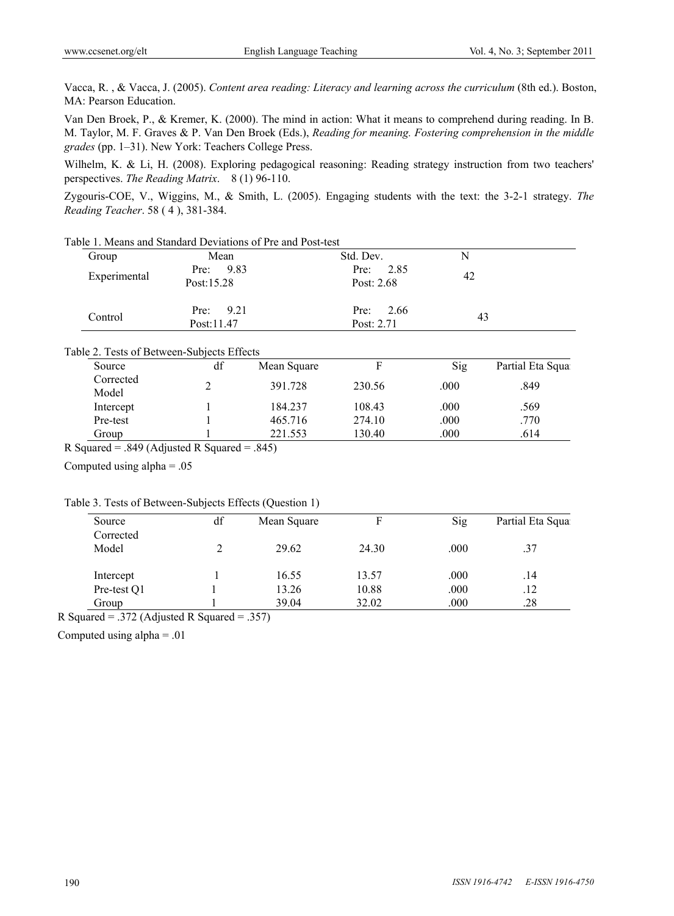Vacca, R. , & Vacca, J. (2005). *Content area reading: Literacy and learning across the curriculum* (8th ed.). Boston, MA: Pearson Education.

Van Den Broek, P., & Kremer, K. (2000). The mind in action: What it means to comprehend during reading. In B. M. Taylor, M. F. Graves & P. Van Den Broek (Eds.), *Reading for meaning. Fostering comprehension in the middle grades* (pp. 1–31). New York: Teachers College Press.

Wilhelm, K. & Li, H. (2008). Exploring pedagogical reasoning: Reading strategy instruction from two teachers' perspectives. *The Reading Matrix*. 8 (1) 96-110.

Zygouris-COE, V., Wiggins, M., & Smith, L. (2005). Engaging students with the text: the 3-2-1 strategy. *The Reading Teacher*. 58 ( 4 ), 381-384.

| Group        | Mean                      | Std. Dev.                   | N  |
|--------------|---------------------------|-----------------------------|----|
| Experimental | Pre: $9.83$<br>Post:15.28 | Pre: $2.85$<br>Post: $2.68$ | 42 |
| Control      | Pre: $9.21$<br>Post:11.47 | Pre: $2.66$<br>Post: 2.71   | 43 |

Table 1. Means and Standard Deviations of Pre and Post-test

|--|

| Source             | df | Mean Square |        | Sig  | Partial Eta Squa |
|--------------------|----|-------------|--------|------|------------------|
| Corrected<br>Model |    | 391.728     | 230.56 | .000 | .849             |
| Intercept          |    | 184.237     | 108.43 | .000 | .569             |
| Pre-test           |    | 465.716     | 274.10 | .000 | .770             |
| Group              |    | 221.553     | 130.40 | .000 | .614             |

R Squared = .849 (Adjusted R Squared = .845)

Computed using  $alpha = .05$ 

#### Table 3. Tests of Between-Subjects Effects (Question 1)

| Source      | df | Mean Square |       | Sig  | Partial Eta Squar |
|-------------|----|-------------|-------|------|-------------------|
| Corrected   |    |             |       |      |                   |
| Model       |    | 29.62       | 24.30 | .000 | .37               |
| Intercept   |    | 16.55       | 13.57 | .000 | .14               |
| Pre-test Q1 |    | 13.26       | 10.88 | .000 | .12               |
| Group       |    | 39.04       | 32.02 | .000 | .28               |

R Squared = .372 (Adjusted R Squared = .357)

Computed using  $alpha = .01$